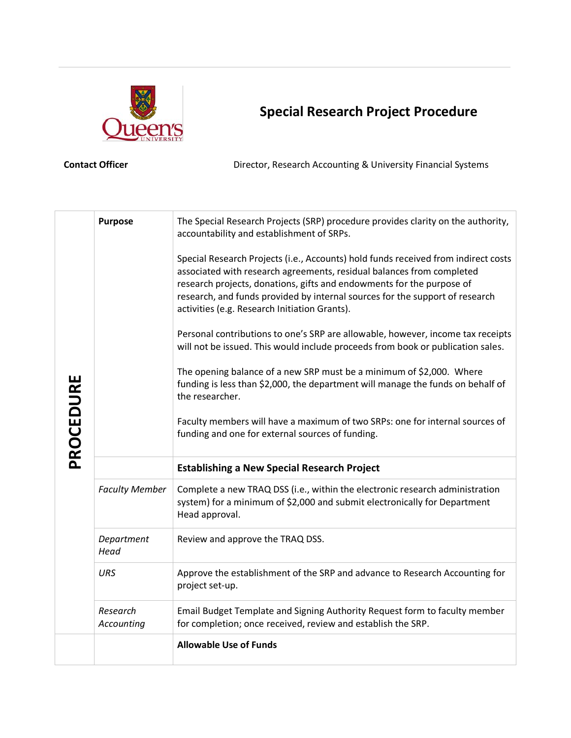

## **Special Research Project Procedure**

**Contact Officer Director, Research Accounting & University Financial Systems** 

| PROCEDURE | <b>Purpose</b>         | The Special Research Projects (SRP) procedure provides clarity on the authority,<br>accountability and establishment of SRPs.<br>Special Research Projects (i.e., Accounts) hold funds received from indirect costs<br>associated with research agreements, residual balances from completed<br>research projects, donations, gifts and endowments for the purpose of<br>research, and funds provided by internal sources for the support of research<br>activities (e.g. Research Initiation Grants).<br>Personal contributions to one's SRP are allowable, however, income tax receipts<br>will not be issued. This would include proceeds from book or publication sales.<br>The opening balance of a new SRP must be a minimum of \$2,000. Where<br>funding is less than \$2,000, the department will manage the funds on behalf of<br>the researcher.<br>Faculty members will have a maximum of two SRPs: one for internal sources of<br>funding and one for external sources of funding. |  |  |  |
|-----------|------------------------|------------------------------------------------------------------------------------------------------------------------------------------------------------------------------------------------------------------------------------------------------------------------------------------------------------------------------------------------------------------------------------------------------------------------------------------------------------------------------------------------------------------------------------------------------------------------------------------------------------------------------------------------------------------------------------------------------------------------------------------------------------------------------------------------------------------------------------------------------------------------------------------------------------------------------------------------------------------------------------------------|--|--|--|
|           |                        | <b>Establishing a New Special Research Project</b>                                                                                                                                                                                                                                                                                                                                                                                                                                                                                                                                                                                                                                                                                                                                                                                                                                                                                                                                             |  |  |  |
|           | <b>Faculty Member</b>  | Complete a new TRAQ DSS (i.e., within the electronic research administration<br>system) for a minimum of \$2,000 and submit electronically for Department<br>Head approval.                                                                                                                                                                                                                                                                                                                                                                                                                                                                                                                                                                                                                                                                                                                                                                                                                    |  |  |  |
|           | Department<br>Head     | Review and approve the TRAQ DSS.                                                                                                                                                                                                                                                                                                                                                                                                                                                                                                                                                                                                                                                                                                                                                                                                                                                                                                                                                               |  |  |  |
|           | <b>URS</b>             | Approve the establishment of the SRP and advance to Research Accounting for<br>project set-up.                                                                                                                                                                                                                                                                                                                                                                                                                                                                                                                                                                                                                                                                                                                                                                                                                                                                                                 |  |  |  |
|           | Research<br>Accounting | Email Budget Template and Signing Authority Request form to faculty member<br>for completion; once received, review and establish the SRP.                                                                                                                                                                                                                                                                                                                                                                                                                                                                                                                                                                                                                                                                                                                                                                                                                                                     |  |  |  |
|           |                        | <b>Allowable Use of Funds</b>                                                                                                                                                                                                                                                                                                                                                                                                                                                                                                                                                                                                                                                                                                                                                                                                                                                                                                                                                                  |  |  |  |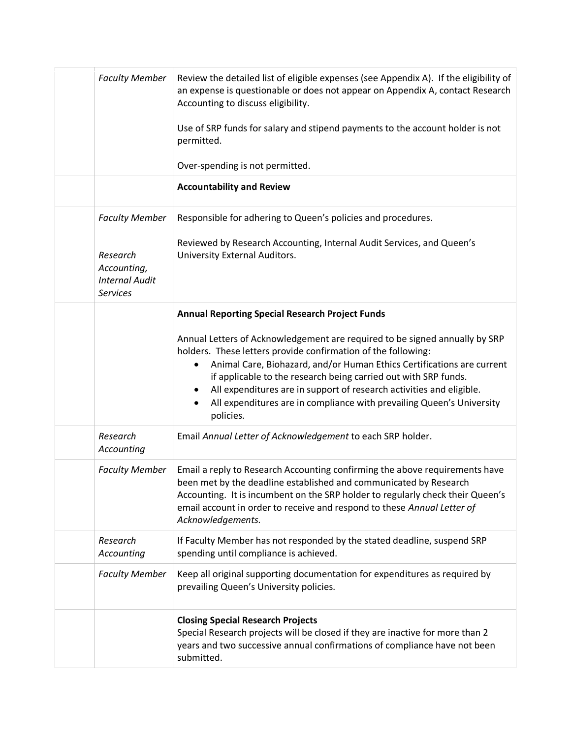| <b>Faculty Member</b>                                               | Review the detailed list of eligible expenses (see Appendix A). If the eligibility of<br>an expense is questionable or does not appear on Appendix A, contact Research<br>Accounting to discuss eligibility.                                                                                                                                                                                                                                            |
|---------------------------------------------------------------------|---------------------------------------------------------------------------------------------------------------------------------------------------------------------------------------------------------------------------------------------------------------------------------------------------------------------------------------------------------------------------------------------------------------------------------------------------------|
|                                                                     | Use of SRP funds for salary and stipend payments to the account holder is not<br>permitted.                                                                                                                                                                                                                                                                                                                                                             |
|                                                                     | Over-spending is not permitted.                                                                                                                                                                                                                                                                                                                                                                                                                         |
|                                                                     | <b>Accountability and Review</b>                                                                                                                                                                                                                                                                                                                                                                                                                        |
| <b>Faculty Member</b>                                               | Responsible for adhering to Queen's policies and procedures.                                                                                                                                                                                                                                                                                                                                                                                            |
| Research<br>Accounting,<br><b>Internal Audit</b><br><b>Services</b> | Reviewed by Research Accounting, Internal Audit Services, and Queen's<br>University External Auditors.                                                                                                                                                                                                                                                                                                                                                  |
|                                                                     | <b>Annual Reporting Special Research Project Funds</b>                                                                                                                                                                                                                                                                                                                                                                                                  |
|                                                                     | Annual Letters of Acknowledgement are required to be signed annually by SRP<br>holders. These letters provide confirmation of the following:<br>Animal Care, Biohazard, and/or Human Ethics Certifications are current<br>if applicable to the research being carried out with SRP funds.<br>All expenditures are in support of research activities and eligible.<br>All expenditures are in compliance with prevailing Queen's University<br>policies. |
| Research<br>Accounting                                              | Email Annual Letter of Acknowledgement to each SRP holder.                                                                                                                                                                                                                                                                                                                                                                                              |
| <b>Faculty Member</b>                                               | Email a reply to Research Accounting confirming the above requirements have<br>been met by the deadline established and communicated by Research<br>Accounting. It is incumbent on the SRP holder to regularly check their Queen's<br>email account in order to receive and respond to these Annual Letter of<br>Acknowledgements.                                                                                                                      |
| Research<br>Accounting                                              | If Faculty Member has not responded by the stated deadline, suspend SRP<br>spending until compliance is achieved.                                                                                                                                                                                                                                                                                                                                       |
| <b>Faculty Member</b>                                               | Keep all original supporting documentation for expenditures as required by<br>prevailing Queen's University policies.                                                                                                                                                                                                                                                                                                                                   |
|                                                                     | <b>Closing Special Research Projects</b><br>Special Research projects will be closed if they are inactive for more than 2<br>years and two successive annual confirmations of compliance have not been<br>submitted.                                                                                                                                                                                                                                    |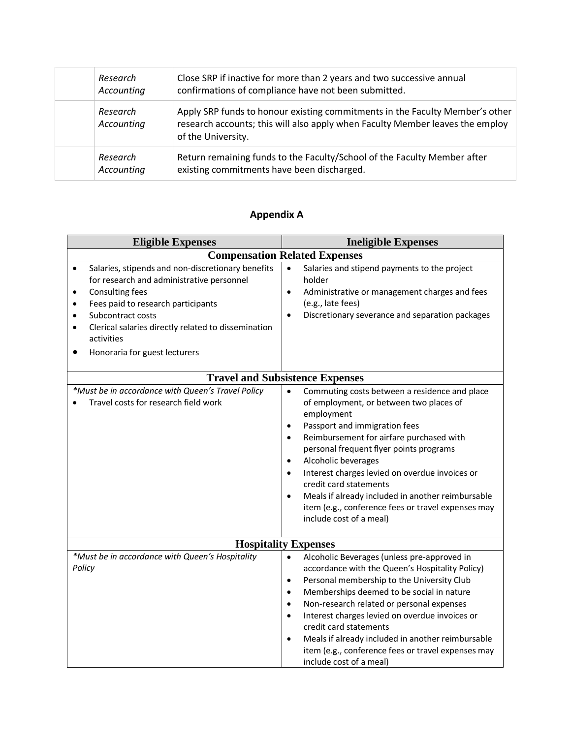| Research<br>Accounting | Close SRP if inactive for more than 2 years and two successive annual<br>confirmations of compliance have not been submitted.                                                       |
|------------------------|-------------------------------------------------------------------------------------------------------------------------------------------------------------------------------------|
| Research<br>Accounting | Apply SRP funds to honour existing commitments in the Faculty Member's other<br>research accounts; this will also apply when Faculty Member leaves the employ<br>of the University. |
| Research<br>Accounting | Return remaining funds to the Faculty/School of the Faculty Member after<br>existing commitments have been discharged.                                                              |

## **Appendix A**

| <b>Eligible Expenses</b>                                                                                                                                                                                                                                                                                                                    | <b>Ineligible Expenses</b>                                                                                                                                                                                                                                                                                                                                                                                                                                                                                                                            |
|---------------------------------------------------------------------------------------------------------------------------------------------------------------------------------------------------------------------------------------------------------------------------------------------------------------------------------------------|-------------------------------------------------------------------------------------------------------------------------------------------------------------------------------------------------------------------------------------------------------------------------------------------------------------------------------------------------------------------------------------------------------------------------------------------------------------------------------------------------------------------------------------------------------|
|                                                                                                                                                                                                                                                                                                                                             | <b>Compensation Related Expenses</b>                                                                                                                                                                                                                                                                                                                                                                                                                                                                                                                  |
| Salaries, stipends and non-discretionary benefits<br>$\bullet$<br>for research and administrative personnel<br>Consulting fees<br>$\bullet$<br>Fees paid to research participants<br>$\bullet$<br>Subcontract costs<br>$\bullet$<br>Clerical salaries directly related to dissemination<br>٠<br>activities<br>Honoraria for guest lecturers | Salaries and stipend payments to the project<br>$\bullet$<br>holder<br>Administrative or management charges and fees<br>$\bullet$<br>(e.g., late fees)<br>Discretionary severance and separation packages<br>$\bullet$                                                                                                                                                                                                                                                                                                                                |
|                                                                                                                                                                                                                                                                                                                                             | <b>Travel and Subsistence Expenses</b>                                                                                                                                                                                                                                                                                                                                                                                                                                                                                                                |
| *Must be in accordance with Queen's Travel Policy<br>Travel costs for research field work                                                                                                                                                                                                                                                   | Commuting costs between a residence and place<br>$\bullet$<br>of employment, or between two places of<br>employment<br>Passport and immigration fees<br>$\bullet$<br>Reimbursement for airfare purchased with<br>$\bullet$<br>personal frequent flyer points programs<br>Alcoholic beverages<br>$\bullet$<br>Interest charges levied on overdue invoices or<br>$\bullet$<br>credit card statements<br>Meals if already included in another reimbursable<br>$\bullet$<br>item (e.g., conference fees or travel expenses may<br>include cost of a meal) |
|                                                                                                                                                                                                                                                                                                                                             | <b>Hospitality Expenses</b>                                                                                                                                                                                                                                                                                                                                                                                                                                                                                                                           |
| *Must be in accordance with Queen's Hospitality<br>Policy                                                                                                                                                                                                                                                                                   | Alcoholic Beverages (unless pre-approved in<br>$\bullet$<br>accordance with the Queen's Hospitality Policy)<br>Personal membership to the University Club<br>٠<br>Memberships deemed to be social in nature<br>$\bullet$<br>Non-research related or personal expenses<br>$\bullet$<br>Interest charges levied on overdue invoices or<br>$\bullet$<br>credit card statements<br>Meals if already included in another reimbursable<br>$\bullet$<br>item (e.g., conference fees or travel expenses may<br>include cost of a meal)                        |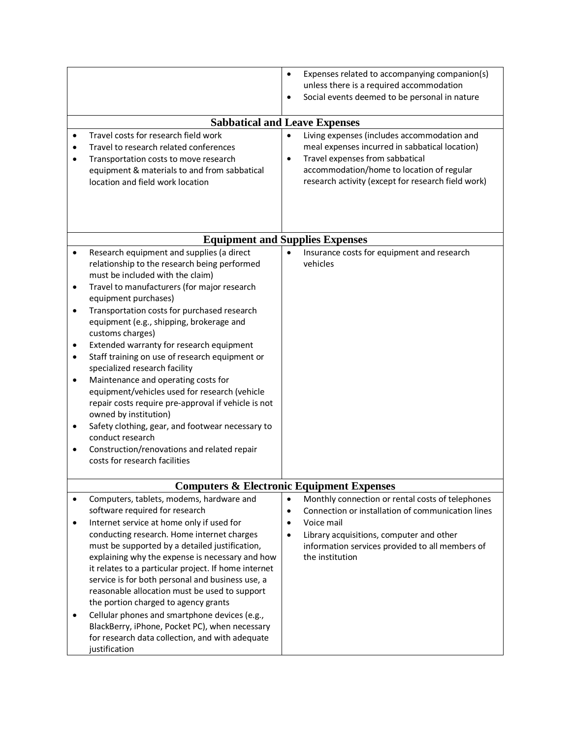|                                  |                                                                                                                                                                                                                                                                                                                                                                                                                                                                                                                                                                                                                                                                                                                                                                                    | $\bullet$                           | Expenses related to accompanying companion(s)<br>unless there is a required accommodation<br>Social events deemed to be personal in nature                                                                                          |
|----------------------------------|------------------------------------------------------------------------------------------------------------------------------------------------------------------------------------------------------------------------------------------------------------------------------------------------------------------------------------------------------------------------------------------------------------------------------------------------------------------------------------------------------------------------------------------------------------------------------------------------------------------------------------------------------------------------------------------------------------------------------------------------------------------------------------|-------------------------------------|-------------------------------------------------------------------------------------------------------------------------------------------------------------------------------------------------------------------------------------|
|                                  | <b>Sabbatical and Leave Expenses</b>                                                                                                                                                                                                                                                                                                                                                                                                                                                                                                                                                                                                                                                                                                                                               |                                     |                                                                                                                                                                                                                                     |
|                                  | Travel costs for research field work<br>Travel to research related conferences<br>Transportation costs to move research<br>equipment & materials to and from sabbatical<br>location and field work location                                                                                                                                                                                                                                                                                                                                                                                                                                                                                                                                                                        | $\bullet$                           | Living expenses (includes accommodation and<br>meal expenses incurred in sabbatical location)<br>Travel expenses from sabbatical<br>accommodation/home to location of regular<br>research activity (except for research field work) |
|                                  | <b>Equipment and Supplies Expenses</b>                                                                                                                                                                                                                                                                                                                                                                                                                                                                                                                                                                                                                                                                                                                                             |                                     |                                                                                                                                                                                                                                     |
| $\bullet$<br>٠<br>$\bullet$<br>٠ | Research equipment and supplies (a direct<br>relationship to the research being performed<br>must be included with the claim)<br>Travel to manufacturers (for major research<br>equipment purchases)<br>Transportation costs for purchased research<br>equipment (e.g., shipping, brokerage and<br>customs charges)<br>Extended warranty for research equipment<br>Staff training on use of research equipment or<br>specialized research facility<br>Maintenance and operating costs for<br>equipment/vehicles used for research (vehicle<br>repair costs require pre-approval if vehicle is not<br>owned by institution)<br>Safety clothing, gear, and footwear necessary to<br>conduct research<br>Construction/renovations and related repair<br>costs for research facilities | $\bullet$                           | Insurance costs for equipment and research<br>vehicles                                                                                                                                                                              |
|                                  |                                                                                                                                                                                                                                                                                                                                                                                                                                                                                                                                                                                                                                                                                                                                                                                    |                                     |                                                                                                                                                                                                                                     |
|                                  | <b>Computers &amp; Electronic Equipment Expenses</b>                                                                                                                                                                                                                                                                                                                                                                                                                                                                                                                                                                                                                                                                                                                               |                                     |                                                                                                                                                                                                                                     |
| $\bullet$                        | Computers, tablets, modems, hardware and                                                                                                                                                                                                                                                                                                                                                                                                                                                                                                                                                                                                                                                                                                                                           | $\bullet$                           | Monthly connection or rental costs of telephones                                                                                                                                                                                    |
| ٠<br>$\bullet$                   | software required for research<br>Internet service at home only if used for<br>conducting research. Home internet charges<br>must be supported by a detailed justification,<br>explaining why the expense is necessary and how<br>it relates to a particular project. If home internet<br>service is for both personal and business use, a<br>reasonable allocation must be used to support<br>the portion charged to agency grants<br>Cellular phones and smartphone devices (e.g.,<br>BlackBerry, iPhone, Pocket PC), when necessary<br>for research data collection, and with adequate<br>justification                                                                                                                                                                         | $\bullet$<br>$\bullet$<br>$\bullet$ | Connection or installation of communication lines<br>Voice mail<br>Library acquisitions, computer and other<br>information services provided to all members of<br>the institution                                                   |